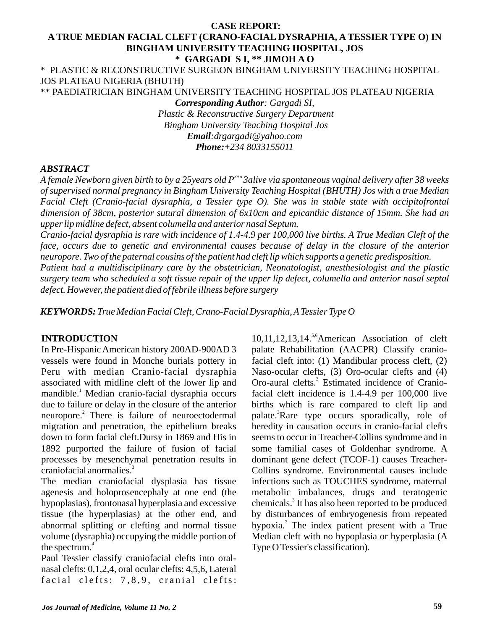### **CASE REPORT: A TRUE MEDIAN FACIAL CLEFT (CRANO-FACIAL DYSRAPHIA, A TESSIER TYPE O) IN BINGHAM UNIVERSITY TEACHING HOSPITAL, JOS \* GARGADI S I, \*\* JIMOH A O**

\* PLASTIC & RECONSTRUCTIVE SURGEON BINGHAM UNIVERSITY TEACHING HOSPITAL JOS PLATEAU NIGERIA (BHUTH)

\*\* PAEDIATRICIAN BINGHAM UNIVERSITY TEACHING HOSPITAL JOS PLATEAU NIGERIA

*Corresponding Author: Gargadi SI, Plastic & Reconstructive Surgery Department Bingham University Teaching Hospital Jos Email:drgargadi@yahoo.com Phone:+234 8033155011*

#### *ABSTRACT*

*3+o A female Newborn given birth to by a 25years old P 3alive via spontaneous vaginal delivery after 38 weeks of supervised normal pregnancy in Bingham University Teaching Hospital (BHUTH) Jos with a true Median Facial Cleft (Cranio-facial dysraphia, a Tessier type O). She was in stable state with occipitofrontal dimension of 38cm, posterior sutural dimension of 6x10cm and epicanthic distance of 15mm. She had an upper lip midline defect, absent columella and anterior nasal Septum.* 

*Cranio-facial dysraphia is rare with incidence of 1.4-4.9 per 100,000 live births. A True Median Cleft of the face, occurs due to genetic and environmental causes because of delay in the closure of the anterior neuropore. Two of the paternal cousins of the patient had cleft lip which supports a genetic predisposition.*

*Patient had a multidisciplinary care by the obstetrician, Neonatologist, anesthesiologist and the plastic surgery team who scheduled a soft tissue repair of the upper lip defect, columella and anterior nasal septal defect. However, the patient died of febrile illness before surgery*

*KEYWORDS: True Median Facial Cleft, Crano-Facial Dysraphia, ATessier Type O*

### **INTRODUCTION**

In Pre-Hispanic American history 200AD-900AD 3 vessels were found in Monche burials pottery in Peru with median Cranio-facial dysraphia associated with midline cleft of the lower lip and mandible.<sup>1</sup> Median cranio-facial dysraphia occurs due to failure or delay in the closure of the anterior neuropore.<sup>2</sup> There is failure of neuroectodermal migration and penetration, the epithelium breaks down to form facial cleft.Dursy in 1869 and His in 1892 purported the failure of fusion of facial processes by mesenchymal penetration results in craniofacial anormalies.<sup>3</sup>

The median craniofacial dysplasia has tissue agenesis and holoprosencephaly at one end (the hypoplasias), frontonasal hyperplasia and excessive tissue (the hyperplasias) at the other end, and abnormal splitting or clefting and normal tissue volume (dysraphia) occupying the middle portion of the spectrum. $4$ 

Paul Tessier classify craniofacial clefts into oralnasal clefts: 0,1,2,4, oral ocular clefts: 4,5,6, Lateral facial clefts:  $7,8,9$ , cranial clefts:

 $10,11,12,13,14$ .<sup>5,6</sup> American Association of cleft palate Rehabilitation (AACPR) Classify craniofacial cleft into: (1) Mandibular process cleft, (2) Naso-ocular clefts, (3) Oro-ocular clefts and (4) Oro-aural clefts.<sup>3</sup> Estimated incidence of Craniofacial cleft incidence is 1.4-4.9 per 100,000 live births which is rare compared to cleft lip and palate.<sup>3</sup>Rare type occurs sporadically, role of heredity in causation occurs in cranio-facial clefts seems to occur in Treacher-Collins syndrome and in some familial cases of Goldenhar syndrome. A dominant gene defect (TCOF-1) causes Treacher-Collins syndrome. Environmental causes include infections such as TOUCHES syndrome, maternal metabolic imbalances, drugs and teratogenic chemicals.<sup>3</sup> It has also been reported to be produced by disturbances of embryogenesis from repeated hypoxia.<sup>7</sup> The index patient present with a True Median cleft with no hypoplasia or hyperplasia (A Type O Tessier's classification).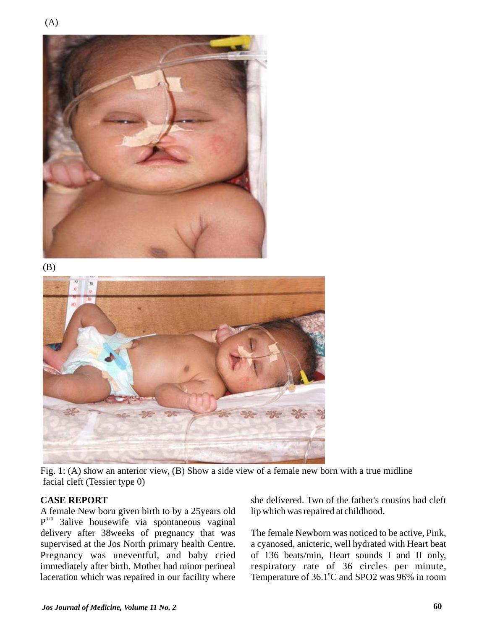





Fig. 1: (A) show an anterior view, (B) Show a side view of a female new born with a true midline facial cleft (Tessier type 0)

### **CASE REPORT**

A female New born given birth to by a 25years old  $P^{3+0}$  3alive housewife via spontaneous vaginal delivery after 38weeks of pregnancy that was supervised at the Jos North primary health Centre. Pregnancy was uneventful, and baby cried immediately after birth. Mother had minor perineal laceration which was repaired in our facility where

she delivered. Two of the father's cousins had cleft lip which was repaired at childhood.

The female Newborn was noticed to be active, Pink, a cyanosed, anicteric, well hydrated with Heart beat of 136 beats/min, Heart sounds I and II only, respiratory rate of 36 circles per minute, Temperature of 36.1°C and SPO2 was 96% in room